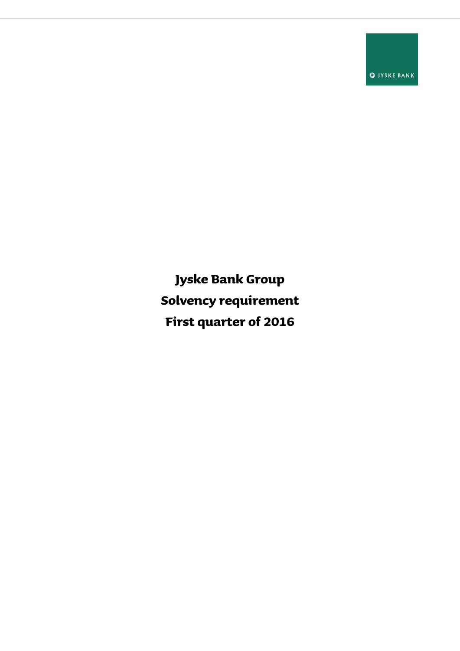**O** JYSKE BANK

**Jyske Bank Group Solvency requirement First quarter of 2016**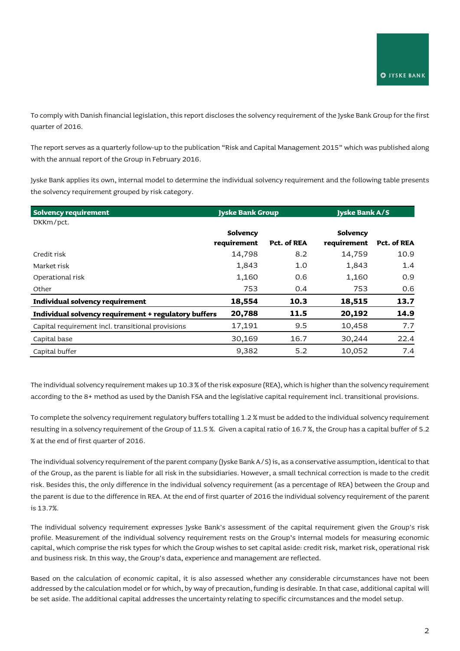To comply with Danish financial legislation, this report discloses the solvency requirement of the Jyske Bank Group for the first quarter of 2016.

The report serves as a quarterly follow-up to the publication "Risk and Capital Management 2015" which was published along with the annual report of the Group in February 2016.

Jyske Bank applies its own, internal model to determine the individual solvency requirement and the following table presents the solvency requirement grouped by risk category.

| <b>Solvency requirement</b>                          | <b>Jyske Bank Group</b> |             | <b>Jyske Bank A/S</b> |             |
|------------------------------------------------------|-------------------------|-------------|-----------------------|-------------|
| DKKm/pct.                                            |                         |             |                       |             |
|                                                      | Solvency                |             | Solvency              |             |
|                                                      | requirement             | Pct. of REA | requirement           | Pct. of REA |
| Credit risk                                          | 14,798                  | 8.2         | 14,759                | 10.9        |
| Market risk                                          | 1,843                   | 1.0         | 1,843                 | 1.4         |
| Operational risk                                     | 1,160                   | 0.6         | 1,160                 | 0.9         |
| Other                                                | 753                     | 0.4         | 753                   | 0.6         |
| Individual solvency requirement                      | 18,554                  | 10.3        | 18,515                | 13.7        |
| Individual solvency requirement + regulatory buffers | 20,788                  | 11.5        | 20,192                | 14.9        |
| Capital requirement incl. transitional provisions    | 17,191                  | 9.5         | 10,458                | 7.7         |
| Capital base                                         | 30,169                  | 16.7        | 30,244                | 22.4        |
| Capital buffer                                       | 9,382                   | 5.2         | 10,052                | 7.4         |

The individual solvency requirement makes up 10.3 % of the risk exposure (REA), which is higher than the solvency requirement according to the 8+ method as used by the Danish FSA and the legislative capital requirement incl. transitional provisions.

To complete the solvency requirement regulatory buffers totalling 1.2 % must be added to the individual solvency requirement resulting in a solvency requirement of the Group of 11.5 %. Given a capital ratio of 16.7 %, the Group has a capital buffer of 5.2 % at the end of first quarter of 2016.

The individual solvency requirement of the parent company (Jyske Bank A/S) is, as a conservative assumption, identical to that of the Group, as the parent is liable for all risk in the subsidiaries. However, a small technical correction is made to the credit risk. Besides this, the only difference in the individual solvency requirement (as a percentage of REA) between the Group and the parent is due to the difference in REA. At the end of first quarter of 2016 the individual solvency requirement of the parent is 13.7%.

The individual solvency requirement expresses Jyske Bank's assessment of the capital requirement given the Group's risk profile. Measurement of the individual solvency requirement rests on the Group's internal models for measuring economic capital, which comprise the risk types for which the Group wishes to set capital aside: credit risk, market risk, operational risk and business risk. In this way, the Group's data, experience and management are reflected.

Based on the calculation of economic capital, it is also assessed whether any considerable circumstances have not been addressed by the calculation model or for which, by way of precaution, funding is desirable. In that case, additional capital will be set aside. The additional capital addresses the uncertainty relating to specific circumstances and the model setup.